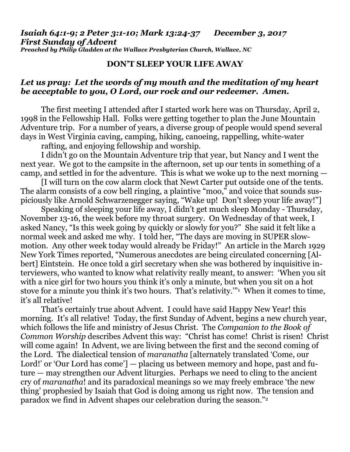*Isaiah 64:1-9; 2 Peter 3:1-10; Mark 13:24-37 December 3, 2017 First Sunday of Advent Preached by Philip Gladden at the Wallace Presbyterian Church, Wallace, NC*

## **DON'T SLEEP YOUR LIFE AWAY**

## *Let us pray: Let the words of my mouth and the meditation of my heart be acceptable to you, O Lord, our rock and our redeemer. Amen.*

The first meeting I attended after I started work here was on Thursday, April 2, 1998 in the Fellowship Hall. Folks were getting together to plan the June Mountain Adventure trip. For a number of years, a diverse group of people would spend several days in West Virginia caving, camping, hiking, canoeing, rappelling, white-water

rafting, and enjoying fellowship and worship.

I didn't go on the Mountain Adventure trip that year, but Nancy and I went the next year. We got to the campsite in the afternoon, set up our tents in something of a camp, and settled in for the adventure. This is what we woke up to the next morning —

[I will turn on the cow alarm clock that Newt Carter put outside one of the tents. The alarm consists of a cow bell ringing, a plaintive "moo," and voice that sounds suspiciously like Arnold Schwarzenegger saying, "Wake up! Don't sleep your life away!"]

Speaking of sleeping your life away, I didn't get much sleep Monday - Thursday, November 13-16, the week before my throat surgery. On Wednesday of that week, I asked Nancy, "Is this week going by quickly or slowly for you?" She said it felt like a normal week and asked me why. I told her, "The days are moving in SUPER slowmotion. Any other week today would already be Friday!" An article in the March 1929 New York Times reported, "Numerous anecdotes are being circulated concerning [Albert] Eintstein. He once told a girl secretary when she was bothered by inquisitive interviewers, who wanted to know what relativity really meant, to answer: 'When you sit with a nice girl for two hours you think it's only a minute, but when you sit on a hot stove for a minute you think it's two hours. That's relativity.'"<sup>1</sup> When it comes to time, it's all relative!

That's certainly true about Advent. I could have said Happy New Year! this morning. It's all relative! Today, the first Sunday of Advent, begins a new church year, which follows the life and ministry of Jesus Christ. The *Companion to the Book of Common Worship* describes Advent this way: "Christ has come! Christ is risen! Christ will come again! In Advent, we are living between the first and the second coming of the Lord. The dialectical tension of *maranatha* [alternately translated 'Come, our Lord!' or 'Our Lord has come'] — placing us between memory and hope, past and future — may strengthen our Advent liturgies. Perhaps we need to cling to the ancient cry of *maranatha*! and its paradoxical meanings so we may freely embrace 'the new thing' prophesied by Isaiah that God is doing among us right now. The tension and paradox we find in Advent shapes our celebration during the season."<sup>2</sup>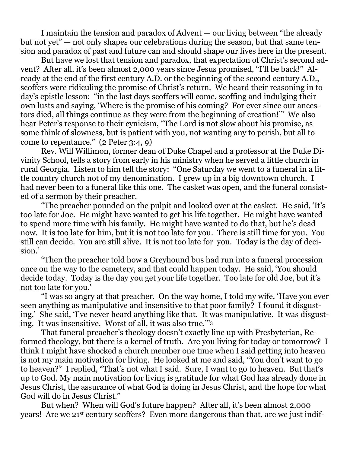I maintain the tension and paradox of Advent — our living between "the already but not yet" — not only shapes our celebrations during the season, but that same tension and paradox of past and future can and should shape our lives here in the present.

But have we lost that tension and paradox, that expectation of Christ's second advent? After all, it's been almost 2,000 years since Jesus promised, "I'll be back!" Already at the end of the first century A.D. or the beginning of the second century A.D., scoffers were ridiculing the promise of Christ's return. We heard their reasoning in today's epistle lesson: "in the last days scoffers will come, scoffing and indulging their own lusts and saying, 'Where is the promise of his coming? For ever since our ancestors died, all things continue as they were from the beginning of creation!'" We also hear Peter's response to their cynicism, "The Lord is not slow about his promise, as some think of slowness, but is patient with you, not wanting any to perish, but all to come to repentance." (2 Peter 3:4, 9)

Rev. Will Willimon, former dean of Duke Chapel and a professor at the Duke Divinity School, tells a story from early in his ministry when he served a little church in rural Georgia. Listen to him tell the story: "One Saturday we went to a funeral in a little country church not of my denomination. I grew up in a big downtown church. I had never been to a funeral like this one. The casket was open, and the funeral consisted of a sermon by their preacher.

"The preacher pounded on the pulpit and looked over at the casket. He said, 'It's too late for Joe. He might have wanted to get his life together. He might have wanted to spend more time with his family. He might have wanted to do that, but he's dead now. It is too late for him, but it is not too late for you. There is still time for you. You still can decide. You are still alive. It is not too late for you. Today is the day of decision.'

"Then the preacher told how a Greyhound bus had run into a funeral procession once on the way to the cemetery, and that could happen today. He said, 'You should decide today. Today is the day you get your life together. Too late for old Joe, but it's not too late for you.'

"I was so angry at that preacher. On the way home, I told my wife, 'Have you ever seen anything as manipulative and insensitive to that poor family? I found it disgusting.' She said, 'I've never heard anything like that. It was manipulative. It was disgusting. It was insensitive. Worst of all, it was also true.'"<sup>3</sup>

That funeral preacher's theology doesn't exactly line up with Presbyterian, Reformed theology, but there is a kernel of truth. Are you living for today or tomorrow? I think I might have shocked a church member one time when I said getting into heaven is not my main motivation for living. He looked at me and said, "You don't want to go to heaven?" I replied, "That's not what I said. Sure, I want to go to heaven. But that's up to God. My main motivation for living is gratitude for what God has already done in Jesus Christ, the assurance of what God is doing in Jesus Christ, and the hope for what God will do in Jesus Christ."

But when? When will God's future happen? After all, it's been almost 2,000 years! Are we 21st century scoffers? Even more dangerous than that, are we just indif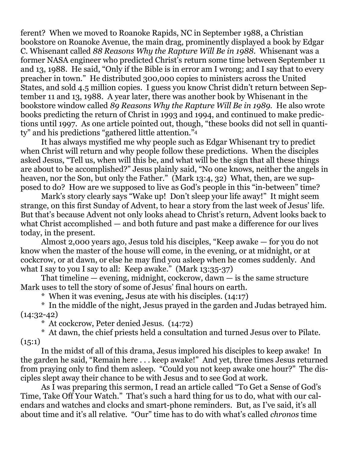ferent? When we moved to Roanoke Rapids, NC in September 1988, a Christian bookstore on Roanoke Avenue, the main drag, prominently displayed a book by Edgar C. Whisenant called *88 Reasons Why the Rapture Will Be in 1988*. Whisenant was a former NASA engineer who predicted Christ's return some time between September 11 and 13, 1988. He said, "Only if the Bible is in error am I wrong; and I say that to every preacher in town." He distributed 300,000 copies to ministers across the United States, and sold 4.5 million copies. I guess you know Christ didn't return between September 11 and 13, 1988. A year later, there was another book by Whisenant in the bookstore window called *89 Reasons Why the Rapture Will Be in 1989.* He also wrote books predicting the return of Christ in 1993 and 1994, and continued to make predictions until 1997. As one article pointed out, though, "these books did not sell in quantity" and his predictions "gathered little attention."<sup>4</sup>

It has always mystified me why people such as Edgar Whisenant try to predict when Christ will return and why people follow these predictions. When the disciples asked Jesus, "Tell us, when will this be, and what will be the sign that all these things are about to be accomplished?" Jesus plainly said, "No one knows, neither the angels in heaven, nor the Son, but only the Father." (Mark 13:4, 32) What, then, are we supposed to do? How are we supposed to live as God's people in this "in-between" time?

Mark's story clearly says "Wake up! Don't sleep your life away!" It might seem strange, on this first Sunday of Advent, to hear a story from the last week of Jesus' life. But that's because Advent not only looks ahead to Christ's return, Advent looks back to what Christ accomplished — and both future and past make a difference for our lives today, in the present.

Almost 2,000 years ago, Jesus told his disciples, "Keep awake — for you do not know when the master of the house will come, in the evening, or at midnight, or at cockcrow, or at dawn, or else he may find you asleep when he comes suddenly. And what I say to you I say to all: Keep awake." (Mark 13:35-37)

That timeline — evening, midnight, cockcrow, dawn — is the same structure Mark uses to tell the story of some of Jesus' final hours on earth.

\* When it was evening, Jesus ate with his disciples. (14:17)

\* In the middle of the night, Jesus prayed in the garden and Judas betrayed him.  $(14:32-42)$ 

\* At cockcrow, Peter denied Jesus. (14:72)

\* At dawn, the chief priests held a consultation and turned Jesus over to Pilate.  $(15:1)$ 

In the midst of all of this drama, Jesus implored his disciples to keep awake! In the garden he said, "Remain here . . . keep awake!" And yet, three times Jesus returned from praying only to find them asleep. "Could you not keep awake one hour?" The disciples slept away their chance to be with Jesus and to see God at work.

As I was preparing this sermon, I read an article called "To Get a Sense of God's Time, Take Off Your Watch." That's such a hard thing for us to do, what with our calendars and watches and clocks and smart-phone reminders. But, as I've said, it's all about time and it's all relative. "Our" time has to do with what's called *chronos* time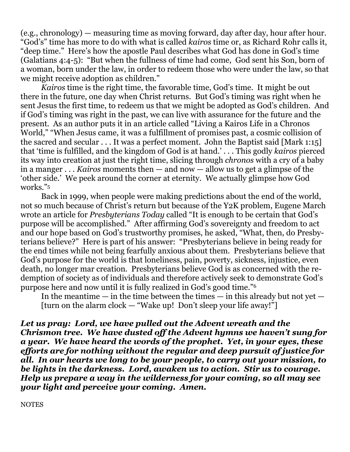(e.g., chronology) — measuring time as moving forward, day after day, hour after hour. "God's" time has more to do with what is called *kairos* time or, as Richard Rohr calls it, "deep time." Here's how the apostle Paul describes what God has done in God's time (Galatians 4:4-5): "But when the fullness of time had come, God sent his Son, born of a woman, born under the law, in order to redeem those who were under the law, so that we might receive adoption as children."

*Kairos* time is the right time, the favorable time, God's time. It might be out there in the future, one day when Christ returns. But God's timing was right when he sent Jesus the first time, to redeem us that we might be adopted as God's children. And if God's timing was right in the past, we can live with assurance for the future and the present. As an author puts it in an article called "Living a Kairos Life in a Chronos World," "When Jesus came, it was a fulfillment of promises past, a cosmic collision of the sacred and secular . . . It was a perfect moment. John the Baptist said [Mark 1:15] that 'time is fulfilled, and the kingdom of God is at hand.' . . . This godly *kairos* pierced its way into creation at just the right time, slicing through *chronos* with a cry of a baby in a manger . . . *Kairos* moments then — and now — allow us to get a glimpse of the 'other side.' We peek around the corner at eternity. We actually glimpse how God works."<sup>5</sup>

Back in 1999, when people were making predictions about the end of the world, not so much because of Christ's return but because of the Y2K problem, Eugene March wrote an article for *Presbyterians Today* called "It is enough to be certain that God's purpose will be accomplished." After affirming God's sovereignty and freedom to act and our hope based on God's trustworthy promises, he asked, "What, then, do Presbyterians believe?" Here is part of his answer: "Presbyterians believe in being ready for the end times while not being fearfully anxious about them. Presbyterians believe that God's purpose for the world is that loneliness, pain, poverty, sickness, injustice, even death, no longer mar creation. Presbyterians believe God is as concerned with the redemption of society as of individuals and therefore actively seek to demonstrate God's purpose here and now until it is fully realized in God's good time."<sup>6</sup>

In the meantime — in the time between the times — in this already but not yet — [turn on the alarm clock — "Wake up! Don't sleep your life away!"]

*Let us pray: Lord, we have pulled out the Advent wreath and the Chrismon tree. We have dusted off the Advent hymns we haven't sung for a year. We have heard the words of the prophet. Yet, in your eyes, these efforts are for nothing without the regular and deep pursuit of justice for all. In our hearts we long to be your people, to carry out your mission, to be lights in the darkness. Lord, awaken us to action. Stir us to courage. Help us prepare a way in the wilderness for your coming, so all may see your light and perceive your coming. Amen.*

**NOTES**